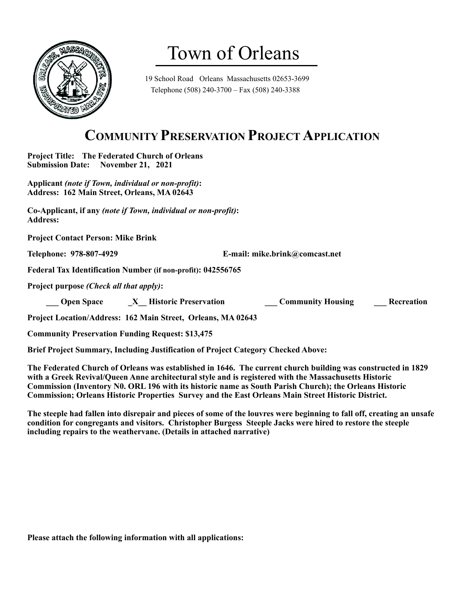

# Town of Orleans

19 School Road Orleans Massachusetts 02653-3699 Telephone (508) 240-3700 – Fax (508) 240-3388

### **COMMUNITY PRESERVATION PROJECT APPLICATION**

**Project Title: The Federated Church of Orleans Submission Date: November 21, 2021** 

**Applicant** *(note if Town, individual or non-profit)***: Address: 162 Main Street, Orleans, MA 02643**

**Co-Applicant, if any** *(note if Town, individual or non-profit)***: Address:** 

**Project Contact Person: Mike Brink**

**Telephone: 978-807-4929 E-mail: mike.brink@comcast.net**

**Federal Tax Identification Number (if non-profit): 042556765**

**Project purpose** *(Check all that apply)***:**

 **Open Space**  $\overline{X}$  **Historic Preservation Community Housing Recreation** 

**Project Location/Address: 162 Main Street, Orleans, MA 02643**

**Community Preservation Funding Request: \$13,475**

**Brief Project Summary, Including Justification of Project Category Checked Above:** 

**The Federated Church of Orleans was established in 1646. The current church building was constructed in 1829 with a Greek Revival/Queen Anne architectural style and is registered with the Massachusetts Historic Commission (Inventory N0. ORL 196 with its historic name as South Parish Church); the Orleans Historic Commission; Orleans Historic Properties Survey and the East Orleans Main Street Historic District.**

**The steeple had fallen into disrepair and pieces of some of the louvres were beginning to fall off, creating an unsafe condition for congregants and visitors. Christopher Burgess Steeple Jacks were hired to restore the steeple including repairs to the weathervane. (Details in attached narrative)**

**Please attach the following information with all applications:**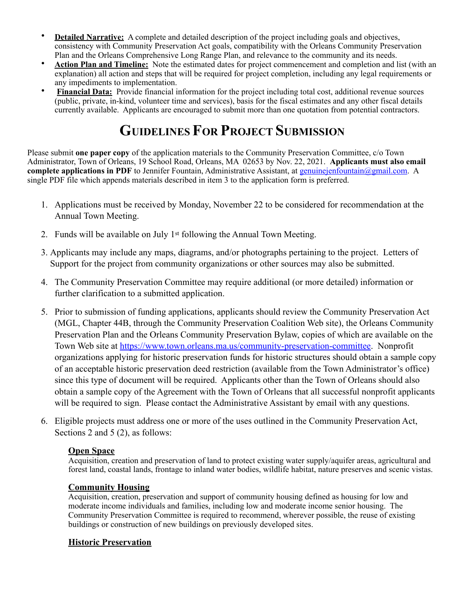- **Detailed Narrative:** A complete and detailed description of the project including goals and objectives, consistency with Community Preservation Act goals, compatibility with the Orleans Community Preservation Plan and the Orleans Comprehensive Long Range Plan, and relevance to the community and its needs.
- **Action Plan and Timeline:** Note the estimated dates for project commencement and completion and list (with an explanation) all action and steps that will be required for project completion, including any legal requirements or any impediments to implementation.
- **Financial Data:** Provide financial information for the project including total cost, additional revenue sources (public, private, in-kind, volunteer time and services), basis for the fiscal estimates and any other fiscal details currently available. Applicants are encouraged to submit more than one quotation from potential contractors.

## **GUIDELINES FOR PROJECT SUBMISSION**

Please submit **one paper copy** of the application materials to the Community Preservation Committee, c/o Town Administrator, Town of Orleans, 19 School Road, Orleans, MA 02653 by Nov. 22, 2021. **Applicants must also email complete applications in PDF** to Jennifer Fountain, Administrative Assistant, at [genuinejenfountain@gmail.com](mailto:genuinejenfountain@gmail.com). A single PDF file which appends materials described in item 3 to the application form is preferred.

- 1. Applications must be received by Monday, November 22 to be considered for recommendation at the Annual Town Meeting.
- 2. Funds will be available on July 1st following the Annual Town Meeting.
- 3. Applicants may include any maps, diagrams, and/or photographs pertaining to the project. Letters of Support for the project from community organizations or other sources may also be submitted.
- 4. The Community Preservation Committee may require additional (or more detailed) information or further clarification to a submitted application.
- 5. Prior to submission of funding applications, applicants should review the Community Preservation Act (MGL, Chapter 44B, through the Community Preservation Coalition Web site), the Orleans Community Preservation Plan and the Orleans Community Preservation Bylaw, copies of which are available on the Town Web site at <https://www.town.orleans.ma.us/community-preservation-committee>. Nonprofit organizations applying for historic preservation funds for historic structures should obtain a sample copy of an acceptable historic preservation deed restriction (available from the Town Administrator's office) since this type of document will be required. Applicants other than the Town of Orleans should also obtain a sample copy of the Agreement with the Town of Orleans that all successful nonprofit applicants will be required to sign. Please contact the Administrative Assistant by email with any questions.
- 6. Eligible projects must address one or more of the uses outlined in the Community Preservation Act, Sections 2 and 5 (2), as follows:

#### **Open Space**

Acquisition, creation and preservation of land to protect existing water supply/aquifer areas, agricultural and forest land, coastal lands, frontage to inland water bodies, wildlife habitat, nature preserves and scenic vistas.

#### **Community Housing**

Acquisition, creation, preservation and support of community housing defined as housing for low and moderate income individuals and families, including low and moderate income senior housing. The Community Preservation Committee is required to recommend, wherever possible, the reuse of existing buildings or construction of new buildings on previously developed sites.

#### **Historic Preservation**